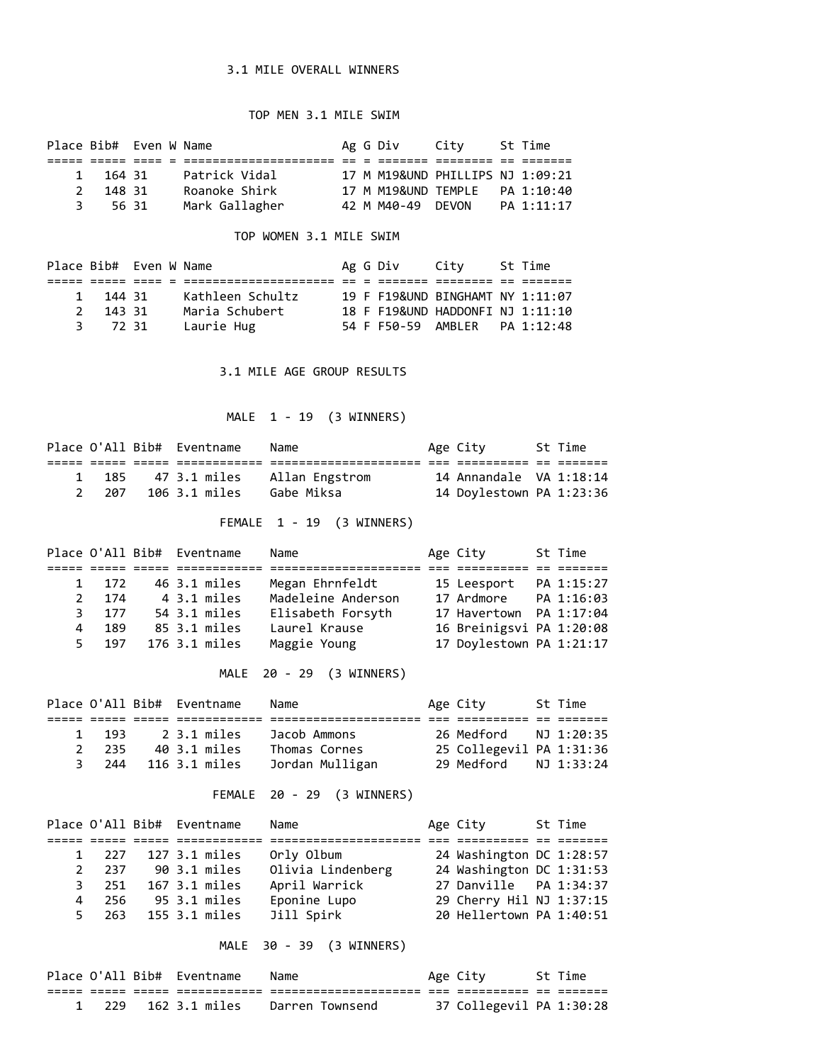## 3.1 MILE OVERALL WINNERS

## TOP MEN 3.1 MILE SWIM

|     |          | Place Bib# Even W Name |  | Ag G Div            | Citv                             | St Time    |
|-----|----------|------------------------|--|---------------------|----------------------------------|------------|
|     |          |                        |  |                     |                                  |            |
|     | 1 164 31 | Patrick Vidal          |  |                     | 17 M M19&UND PHILLIPS NJ 1:09:21 |            |
|     | 2 148 31 | Roanoke Shirk          |  | 17 M M19&UND TEMPLE |                                  | PA 1:10:40 |
| -3. | 5631     | Mark Gallagher         |  | 42 M M40-49 DEVON   |                                  | PA 1:11:17 |

## TOP WOMEN 3.1 MILE SWIM

|   | Place Bib# Even W Name |                  |  | Ag G Div City |                                  | St Time |
|---|------------------------|------------------|--|---------------|----------------------------------|---------|
|   |                        |                  |  |               |                                  |         |
|   | 1 144 31               | Kathleen Schultz |  |               | 19 F F19&UND BINGHAMT NY 1:11:07 |         |
|   | 2 143 31               | Maria Schubert   |  |               | 18 F F19&UND HADDONFI NJ 1:11:10 |         |
| 3 | 7231                   | Laurie Hug       |  |               | 54 F F50-59 AMBLER PA 1:12:48    |         |

3.1 MILE AGE GROUP RESULTS

MALE 1 - 19 (3 WINNERS)

|     | Place O'All Bib# Eventname | Name                           | Age City |                          | St Time |
|-----|----------------------------|--------------------------------|----------|--------------------------|---------|
|     |                            |                                |          |                          |         |
| 185 |                            | 47 3.1 miles    Allan Engstrom |          | 14 Annandale VA 1:18:14  |         |
| 207 | 106 3.1 miles              | Gabe Miksa                     |          | 14 Doylestown PA 1:23:36 |         |

FEMALE 1 - 19 (3 WINNERS)

|    |       | Place O'All Bib# Eventname | Name               | Age City                 | St Time |
|----|-------|----------------------------|--------------------|--------------------------|---------|
|    |       |                            |                    |                          |         |
|    | 1 172 | 46 3.1 miles               | Megan Ehrnfeldt    | 15 Leesport PA 1:15:27   |         |
|    | 2 174 | 4 3.1 miles                | Madeleine Anderson |                          |         |
| 3. | 177   | 54 3.1 miles               | Elisabeth Forsyth  | 17 Havertown PA 1:17:04  |         |
| 4  | 189   | 85 3.1 miles               | Laurel Krause      | 16 Breinigsvi PA 1:20:08 |         |
|    | 5 197 | 176 3.1 miles              | Maggie Young       | 17 Doylestown PA 1:21:17 |         |

MALE 20 - 29 (3 WINNERS)

|       | Place O'All Bib# Eventname | Name            | Age City                 | St Time |
|-------|----------------------------|-----------------|--------------------------|---------|
|       |                            |                 |                          |         |
| 1 193 | 2 3.1 miles                | Jacob Ammons    | 26 Medford NJ 1:20:35    |         |
| 2 235 | 40 3.1 miles               | Thomas Cornes   | 25 Collegevil PA 1:31:36 |         |
|       | 3 244 116 3.1 miles        | Jordan Mulligan | 29 Medford NJ 1:33:24    |         |

FEMALE 20 - 29 (3 WINNERS)

|       | Place O'All Bib# Eventname | Name              | Age City                  | St Time |
|-------|----------------------------|-------------------|---------------------------|---------|
|       |                            |                   |                           |         |
| 1 227 | 127 3.1 miles              | Orly Olbum        | 24 Washington DC 1:28:57  |         |
| 2 237 | 90 3.1 miles               | Olivia Lindenberg | 24 Washington DC 1:31:53  |         |
| 3 251 | 167 3.1 miles              | April Warrick     | 27 Danville    PA 1:34:37 |         |
|       | 4 256 95 3.1 miles         | Eponine Lupo      | 29 Cherry Hil NJ 1:37:15  |         |
|       | 5 263 155 3.1 miles        | Jill Spirk        | 20 Hellertown PA 1:40:51  |         |

MALE 30 - 39 (3 WINNERS)

|      | Place O'All Bib# Eventname | Name            | Age City                 | St Time |
|------|----------------------------|-----------------|--------------------------|---------|
|      |                            |                 |                          |         |
| -229 | 162 3.1 miles              | Darren Townsend | 37 Collegevil PA 1:30:28 |         |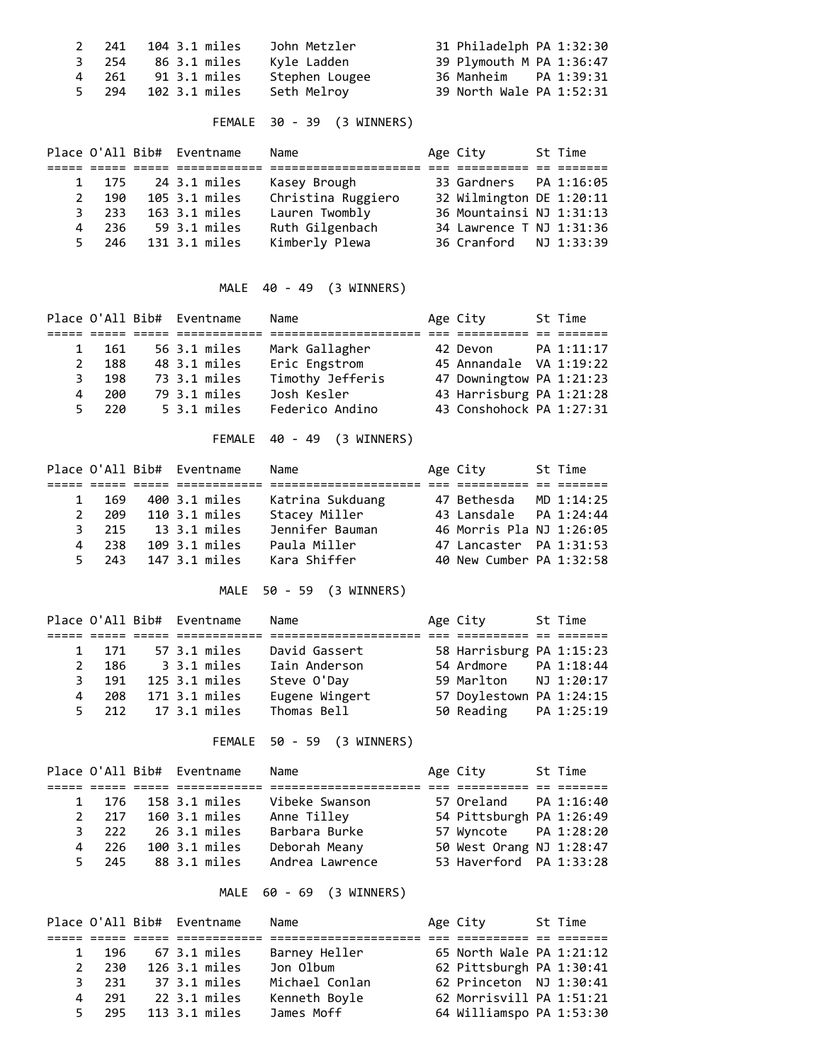|       | 2 241 104 3.1 miles | John Metzler   | 31 Philadelph PA 1:32:30 |
|-------|---------------------|----------------|--------------------------|
|       | 3 254 86 3.1 miles  | Kyle Ladden    | 39 Plymouth M PA 1:36:47 |
| 4 261 | 91 3.1 miles        | Stephen Lougee | 36 Manheim PA 1:39:31    |
|       | 5 294 102 3.1 miles | Seth Melroy    | 39 North Wale PA 1:52:31 |

FEMALE 30 - 39 (3 WINNERS)

|             |       | Place O'All Bib# Eventname | Name               | Age City                 | St Time |
|-------------|-------|----------------------------|--------------------|--------------------------|---------|
|             |       |                            |                    |                          |         |
|             |       | 1 175 24 3.1 miles         | Kasey Brough       | 33 Gardners  PA 1:16:05  |         |
| $2^{\circ}$ | 190   | 105 3.1 miles              | Christina Ruggiero | 32 Wilmington DE 1:20:11 |         |
|             | 3 233 | 163 3.1 miles              | Lauren Twombly     | 36 Mountainsi NJ 1:31:13 |         |
|             |       | 4 236 59 3.1 miles         | Ruth Gilgenbach    | 34 Lawrence T NJ 1:31:36 |         |
|             |       | 5 246 131 3.1 miles        | Kimberly Plewa     | 36 Cranford NJ 1:33:39   |         |

MALE 40 - 49 (3 WINNERS)

|              |     | Place O'All Bib# Eventname | Name             | Age City                 | St Time |
|--------------|-----|----------------------------|------------------|--------------------------|---------|
|              |     |                            |                  |                          |         |
| $\mathbf{1}$ | 161 | 56 3.1 miles               | Mark Gallagher   | 42 Devon PA 1:11:17      |         |
| 2            | 188 | 48 3.1 miles               | Eric Engstrom    | 45 Annandale VA 1:19:22  |         |
| 3            | 198 | 73 3.1 miles               | Timothy Jefferis | 47 Downingtow PA 1:21:23 |         |
| 4            | 200 | 79 3.1 miles               | Josh Kesler      | 43 Harrisburg PA 1:21:28 |         |
| 5.           | 220 | $5.3.1$ miles              | Federico Andino  | 43 Conshohock PA 1:27:31 |         |

FEMALE 40 - 49 (3 WINNERS)

|       | Place O'All Bib# Eventname | Name             | Age City                 | St Time |
|-------|----------------------------|------------------|--------------------------|---------|
|       |                            |                  |                          |         |
| 1 169 | 400 3.1 miles              | Katrina Sukduang | 47 Bethesda MD 1:14:25   |         |
| 2 209 | 110 3.1 miles              | Stacey Miller    | 43 Lansdale  PA 1:24:44  |         |
|       | 3 215 13 3.1 miles         | Jennifer Bauman  | 46 Morris Pla NJ 1:26:05 |         |
| 4 238 | 109 3.1 miles              | Paula Miller     | 47 Lancaster PA 1:31:53  |         |
|       | 5 243 147 3.1 miles        | Kara Shiffer     | 40 New Cumber PA 1:32:58 |         |

MALE 50 - 59 (3 WINNERS)

|       | Place O'All Bib# Eventname | Name           | Age City                 | St Time |
|-------|----------------------------|----------------|--------------------------|---------|
|       |                            |                |                          |         |
| 1 171 | 57 3.1 miles               | David Gassert  | 58 Harrisburg PA 1:15:23 |         |
|       | 2 186 3 3.1 miles          | Iain Anderson  |                          |         |
| 3 191 | 125 3.1 miles              | Steve O'Day    | 59 Marlton NJ 1:20:17    |         |
| 4 208 | 171 3.1 miles              | Eugene Wingert | 57 Doylestown PA 1:24:15 |         |
|       | 5 212 17 3.1 miles         | Thomas Bell    | 50 Reading PA 1:25:19    |         |

FEMALE 50 - 59 (3 WINNERS)

|       | Place O'All Bib# Eventname | Name            | Age City                 | St Time |
|-------|----------------------------|-----------------|--------------------------|---------|
|       |                            |                 |                          |         |
|       | 1 176 158 3.1 miles        | Vibeke Swanson  | 57 Oreland PA 1:16:40    |         |
| 2 217 | 160 3.1 miles              | Anne Tilley     | 54 Pittsburgh PA 1:26:49 |         |
|       | 3 222 26 3.1 miles         | Barbara Burke   | 57 Wyncote PA 1:28:20    |         |
| 4 226 | 100 3.1 miles              | Deborah Meany   | 50 West Orang NJ 1:28:47 |         |
|       | 5 245 88 3.1 miles         | Andrea Lawrence | 53 Haverford PA 1:33:28  |         |

MALE 60 - 69 (3 WINNERS)

|              |                       | Place O'All Bib# Eventname | Name           | Age City                 | St Time |
|--------------|-----------------------|----------------------------|----------------|--------------------------|---------|
|              |                       |                            |                |                          |         |
|              |                       | 1 196 67 3.1 miles         | Barney Heller  | 65 North Wale PA 1:21:12 |         |
| $\mathbf{2}$ | 230                   | 126 3.1 miles              | Jon Olbum      | 62 Pittsburgh PA 1:30:41 |         |
|              | 3 231                 | 37 3.1 miles               | Michael Conlan | 62 Princeton NJ 1:30:41  |         |
|              | 291<br>$\overline{4}$ | 22 3.1 miles               | Kenneth Boyle  | 62 Morrisvill PA 1:51:21 |         |
| 5.           | 295                   | 113 3.1 miles              | James Moff     | 64 Williamspo PA 1:53:30 |         |